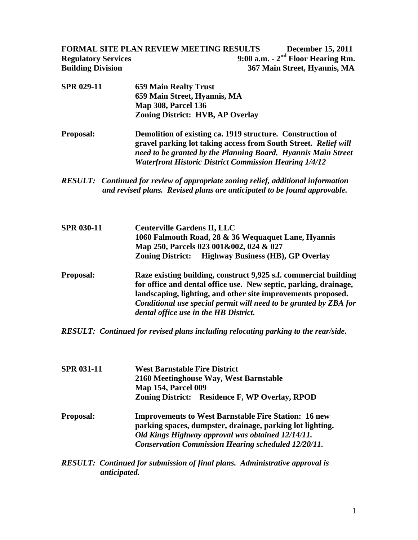**FORMAL SITE PLAN REVIEW MEETING RESULTS December 15, 2011 Regulatory Services** 9:00 a.m. - 2<sup>nd</sup> Floor Hearing Rm. **Building Division 367 Main Street, Hyannis, MA** 

- **SPR 029-11 659 Main Realty Trust 659 Main Street, Hyannis, MA Map 308, Parcel 136 Zoning District: HVB, AP Overlay**
- **Proposal: Demolition of existing ca. 1919 structure. Construction of gravel parking lot taking access from South Street.** *Relief will need to be granted by the Planning Board.**Hyannis Main Street Waterfront Historic District Commission Hearing 1/4/12*
- *RESULT: Continued for review of appropriate zoning relief, additional information and revised plans. Revised plans are anticipated to be found approvable.*
- **SPR 030-11 Centerville Gardens II, LLC 1060 Falmouth Road, 28 & 36 Wequaquet Lane, Hyannis Map 250, Parcels 023 001&002, 024 & 027 Zoning District: Highway Business (HB), GP Overlay Proposal: Raze existing building, construct 9,925 s.f. commercial building for office and dental office use. New septic, parking, drainage, landscaping, lighting, and other site improvements proposed.**  *Conditional use special permit will need to be granted by ZBA for dental office use in the HB District.*

## *RESULT: Continued for revised plans including relocating parking to the rear/side.*

| <b>SPR 031-11</b> | <b>West Barnstable Fire District</b><br>2160 Meetinghouse Way, West Barnstable<br><b>Map 154, Parcel 009</b>                                                                                                                                |
|-------------------|---------------------------------------------------------------------------------------------------------------------------------------------------------------------------------------------------------------------------------------------|
|                   | Zoning District: Residence F, WP Overlay, RPOD                                                                                                                                                                                              |
| <b>Proposal:</b>  | <b>Improvements to West Barnstable Fire Station: 16 new</b><br>parking spaces, dumpster, drainage, parking lot lighting.<br>Old Kings Highway approval was obtained 12/14/11.<br><b>Conservation Commission Hearing scheduled 12/20/11.</b> |

*RESULT: Continued for submission of final plans. Administrative approval is anticipated.*